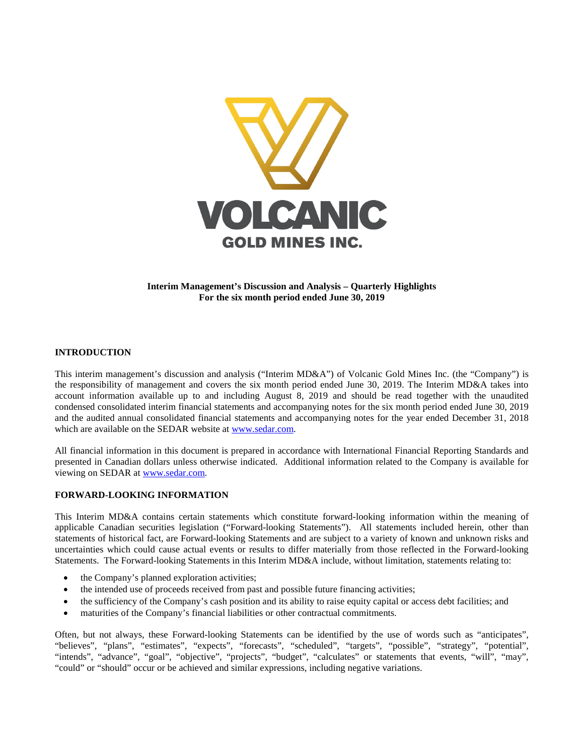

# **Interim Management's Discussion and Analysis – Quarterly Highlights For the six month period ended June 30, 2019**

# **INTRODUCTION**

This interim management's discussion and analysis ("Interim MD&A") of Volcanic Gold Mines Inc. (the "Company") is the responsibility of management and covers the six month period ended June 30, 2019. The Interim MD&A takes into account information available up to and including August 8, 2019 and should be read together with the unaudited condensed consolidated interim financial statements and accompanying notes for the six month period ended June 30, 2019 and the audited annual consolidated financial statements and accompanying notes for the year ended December 31, 2018 which are available on the SEDAR website at [www.sedar.com.](http://www.sedar.com/)

All financial information in this document is prepared in accordance with International Financial Reporting Standards and presented in Canadian dollars unless otherwise indicated. Additional information related to the Company is available for viewing on SEDAR at [www.sedar.com.](http://www.sedar.com/)

# **FORWARD-LOOKING INFORMATION**

This Interim MD&A contains certain statements which constitute forward-looking information within the meaning of applicable Canadian securities legislation ("Forward-looking Statements"). All statements included herein, other than statements of historical fact, are Forward-looking Statements and are subject to a variety of known and unknown risks and uncertainties which could cause actual events or results to differ materially from those reflected in the Forward-looking Statements. The Forward-looking Statements in this Interim MD&A include, without limitation, statements relating to:

- the Company's planned exploration activities;
- the intended use of proceeds received from past and possible future financing activities;
- the sufficiency of the Company's cash position and its ability to raise equity capital or access debt facilities; and
- maturities of the Company's financial liabilities or other contractual commitments.

Often, but not always, these Forward-looking Statements can be identified by the use of words such as "anticipates", "believes", "plans", "estimates", "expects", "forecasts", "scheduled", "targets", "possible", "strategy", "potential", "intends", "advance", "goal", "objective", "projects", "budget", "calculates" or statements that events, "will", "may", "could" or "should" occur or be achieved and similar expressions, including negative variations.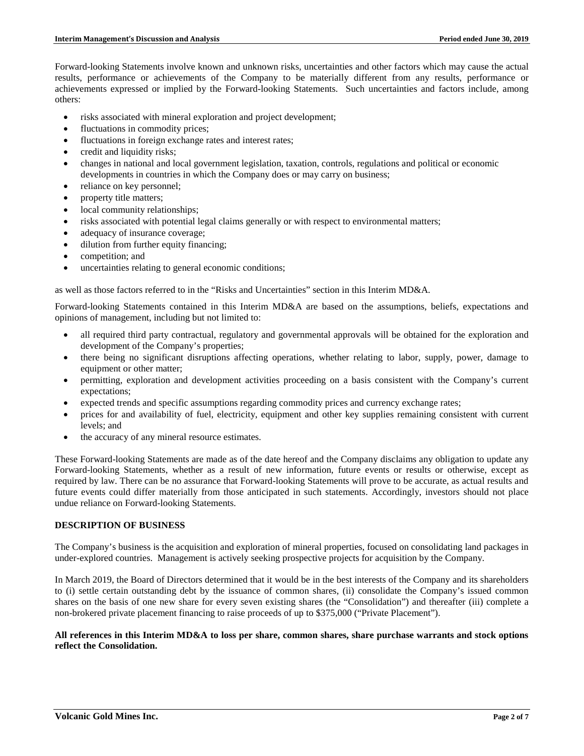Forward-looking Statements involve known and unknown risks, uncertainties and other factors which may cause the actual results, performance or achievements of the Company to be materially different from any results, performance or achievements expressed or implied by the Forward-looking Statements. Such uncertainties and factors include, among others:

- risks associated with mineral exploration and project development;
- fluctuations in commodity prices;
- fluctuations in foreign exchange rates and interest rates;
- credit and liquidity risks;
- changes in national and local government legislation, taxation, controls, regulations and political or economic developments in countries in which the Company does or may carry on business;
- reliance on key personnel;
- property title matters;
- local community relationships;
- risks associated with potential legal claims generally or with respect to environmental matters;
- adequacy of insurance coverage;
- dilution from further equity financing;
- competition; and
- uncertainties relating to general economic conditions;

as well as those factors referred to in the "Risks and Uncertainties" section in this Interim MD&A.

Forward-looking Statements contained in this Interim MD&A are based on the assumptions, beliefs, expectations and opinions of management, including but not limited to:

- all required third party contractual, regulatory and governmental approvals will be obtained for the exploration and development of the Company's properties;
- there being no significant disruptions affecting operations, whether relating to labor, supply, power, damage to equipment or other matter;
- permitting, exploration and development activities proceeding on a basis consistent with the Company's current expectations;
- expected trends and specific assumptions regarding commodity prices and currency exchange rates;
- prices for and availability of fuel, electricity, equipment and other key supplies remaining consistent with current levels; and
- the accuracy of any mineral resource estimates.

These Forward-looking Statements are made as of the date hereof and the Company disclaims any obligation to update any Forward-looking Statements, whether as a result of new information, future events or results or otherwise, except as required by law. There can be no assurance that Forward-looking Statements will prove to be accurate, as actual results and future events could differ materially from those anticipated in such statements. Accordingly, investors should not place undue reliance on Forward-looking Statements.

# **DESCRIPTION OF BUSINESS**

The Company's business is the acquisition and exploration of mineral properties, focused on consolidating land packages in under-explored countries. Management is actively seeking prospective projects for acquisition by the Company.

In March 2019, the Board of Directors determined that it would be in the best interests of the Company and its shareholders to (i) settle certain outstanding debt by the issuance of common shares, (ii) consolidate the Company's issued common shares on the basis of one new share for every seven existing shares (the "Consolidation") and thereafter (iii) complete a non-brokered private placement financing to raise proceeds of up to \$375,000 ("Private Placement").

#### **All references in this Interim MD&A to loss per share, common shares, share purchase warrants and stock options reflect the Consolidation.**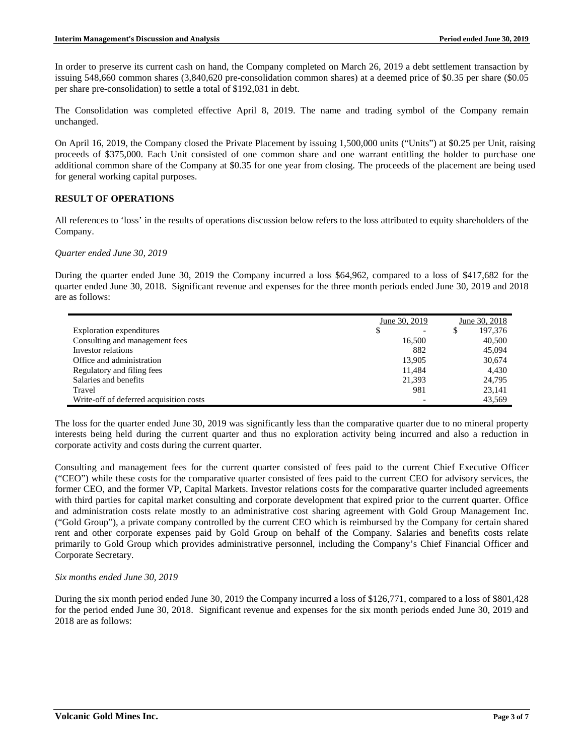In order to preserve its current cash on hand, the Company completed on March 26, 2019 a debt settlement transaction by issuing 548,660 common shares (3,840,620 pre-consolidation common shares) at a deemed price of \$0.35 per share (\$0.05 per share pre-consolidation) to settle a total of \$192,031 in debt.

The Consolidation was completed effective April 8, 2019. The name and trading symbol of the Company remain unchanged.

On April 16, 2019, the Company closed the Private Placement by issuing 1,500,000 units ("Units") at \$0.25 per Unit, raising proceeds of \$375,000. Each Unit consisted of one common share and one warrant entitling the holder to purchase one additional common share of the Company at \$0.35 for one year from closing. The proceeds of the placement are being used for general working capital purposes.

# **RESULT OF OPERATIONS**

All references to 'loss' in the results of operations discussion below refers to the loss attributed to equity shareholders of the Company.

### *Quarter ended June 30, 2019*

During the quarter ended June 30, 2019 the Company incurred a loss \$64,962, compared to a loss of \$417,682 for the quarter ended June 30, 2018. Significant revenue and expenses for the three month periods ended June 30, 2019 and 2018 are as follows:

|                                         | June 30, 2019 | June 30, 2018                            |
|-----------------------------------------|---------------|------------------------------------------|
| <b>Exploration expenditures</b>         | \$            | 197,376<br>S<br>$\overline{\phantom{0}}$ |
| Consulting and management fees          | 16,500        | 40,500                                   |
| Investor relations                      | 882           | 45,094                                   |
| Office and administration               | 13,905        | 30,674                                   |
| Regulatory and filing fees              | 11.484        | 4.430                                    |
| Salaries and benefits                   | 21,393        | 24.795                                   |
| Travel                                  | 981           | 23.141                                   |
| Write-off of deferred acquisition costs |               | 43.569                                   |

The loss for the quarter ended June 30, 2019 was significantly less than the comparative quarter due to no mineral property interests being held during the current quarter and thus no exploration activity being incurred and also a reduction in corporate activity and costs during the current quarter.

Consulting and management fees for the current quarter consisted of fees paid to the current Chief Executive Officer ("CEO") while these costs for the comparative quarter consisted of fees paid to the current CEO for advisory services, the former CEO, and the former VP, Capital Markets. Investor relations costs for the comparative quarter included agreements with third parties for capital market consulting and corporate development that expired prior to the current quarter. Office and administration costs relate mostly to an administrative cost sharing agreement with Gold Group Management Inc. ("Gold Group"), a private company controlled by the current CEO which is reimbursed by the Company for certain shared rent and other corporate expenses paid by Gold Group on behalf of the Company. Salaries and benefits costs relate primarily to Gold Group which provides administrative personnel, including the Company's Chief Financial Officer and Corporate Secretary.

# *Six months ended June 30, 2019*

During the six month period ended June 30, 2019 the Company incurred a loss of \$126,771, compared to a loss of \$801,428 for the period ended June 30, 2018. Significant revenue and expenses for the six month periods ended June 30, 2019 and 2018 are as follows: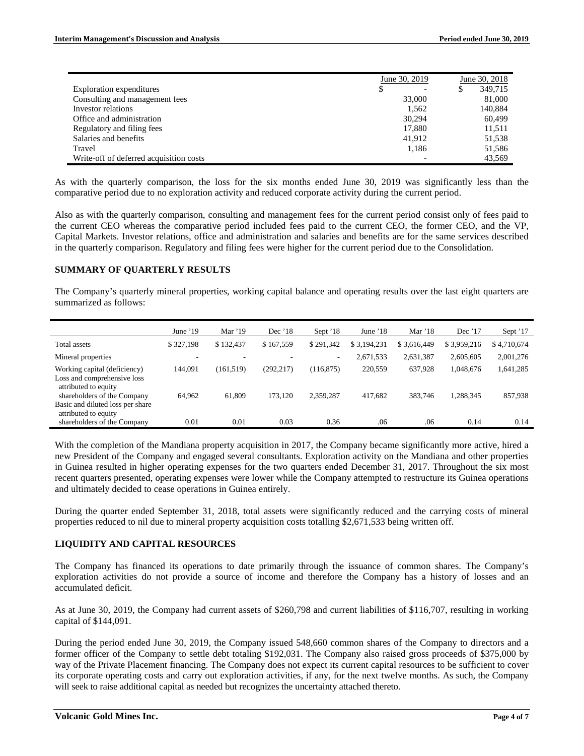|                                         | June 30, 2019 | June 30, 2018 |  |
|-----------------------------------------|---------------|---------------|--|
| Exploration expenditures                | S             | 349.715       |  |
| Consulting and management fees          | 33,000        | 81,000        |  |
| Investor relations                      | 1.562         | 140,884       |  |
| Office and administration               | 30.294        | 60.499        |  |
| Regulatory and filing fees              | 17,880        | 11,511        |  |
| Salaries and benefits                   | 41,912        | 51,538        |  |
| Travel                                  | 1.186         | 51,586        |  |
| Write-off of deferred acquisition costs |               | 43.569        |  |

As with the quarterly comparison, the loss for the six months ended June 30, 2019 was significantly less than the comparative period due to no exploration activity and reduced corporate activity during the current period.

Also as with the quarterly comparison, consulting and management fees for the current period consist only of fees paid to the current CEO whereas the comparative period included fees paid to the current CEO, the former CEO, and the VP, Capital Markets. Investor relations, office and administration and salaries and benefits are for the same services described in the quarterly comparison. Regulatory and filing fees were higher for the current period due to the Consolidation.

#### **SUMMARY OF QUARTERLY RESULTS**

The Company's quarterly mineral properties, working capital balance and operating results over the last eight quarters are summarized as follows:

|                                                                                         | June $'19$ | Mar $'19$  | Dec $'18$  | Sept '18   | June $18$   | Mar $'18$   | Dec $'17$   | Sept '17    |
|-----------------------------------------------------------------------------------------|------------|------------|------------|------------|-------------|-------------|-------------|-------------|
| Total assets                                                                            | \$327.198  | \$132,437  | \$167,559  | \$291,342  | \$3,194,231 | \$3,616,449 | \$3,959,216 | \$4,710,674 |
| Mineral properties                                                                      | ٠.         |            |            | ۰          | 2,671,533   | 2,631,387   | 2,605,605   | 2,001,276   |
| Working capital (deficiency)<br>Loss and comprehensive loss<br>attributed to equity     | 144.091    | (161, 519) | (292, 217) | (116, 875) | 220,559     | 637.928     | 1,048,676   | 1,641,285   |
| shareholders of the Company<br>Basic and diluted loss per share<br>attributed to equity | 64.962     | 61.809     | 173.120    | 2,359,287  | 417,682     | 383,746     | 1.288.345   | 857,938     |
| shareholders of the Company                                                             | 0.01       | 0.01       | 0.03       | 0.36       | .06         | .06         | 0.14        | 0.14        |

With the completion of the Mandiana property acquisition in 2017, the Company became significantly more active, hired a new President of the Company and engaged several consultants. Exploration activity on the Mandiana and other properties in Guinea resulted in higher operating expenses for the two quarters ended December 31, 2017. Throughout the six most recent quarters presented, operating expenses were lower while the Company attempted to restructure its Guinea operations and ultimately decided to cease operations in Guinea entirely.

During the quarter ended September 31, 2018, total assets were significantly reduced and the carrying costs of mineral properties reduced to nil due to mineral property acquisition costs totalling \$2,671,533 being written off.

# **LIQUIDITY AND CAPITAL RESOURCES**

The Company has financed its operations to date primarily through the issuance of common shares. The Company's exploration activities do not provide a source of income and therefore the Company has a history of losses and an accumulated deficit.

As at June 30, 2019, the Company had current assets of \$260,798 and current liabilities of \$116,707, resulting in working capital of \$144,091.

During the period ended June 30, 2019, the Company issued 548,660 common shares of the Company to directors and a former officer of the Company to settle debt totaling \$192,031. The Company also raised gross proceeds of \$375,000 by way of the Private Placement financing. The Company does not expect its current capital resources to be sufficient to cover its corporate operating costs and carry out exploration activities, if any, for the next twelve months. As such, the Company will seek to raise additional capital as needed but recognizes the uncertainty attached thereto.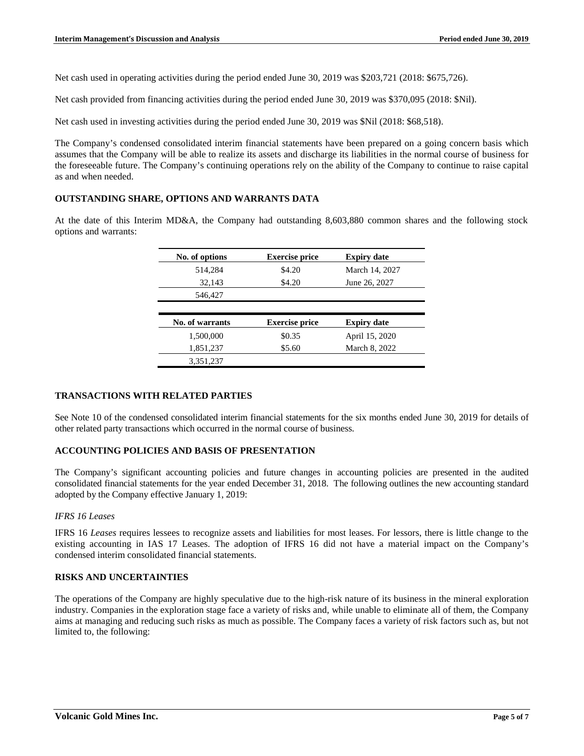Net cash used in operating activities during the period ended June 30, 2019 was \$203,721 (2018: \$675,726).

Net cash provided from financing activities during the period ended June 30, 2019 was \$370,095 (2018: \$Nil).

Net cash used in investing activities during the period ended June 30, 2019 was \$Nil (2018: \$68,518).

The Company's condensed consolidated interim financial statements have been prepared on a going concern basis which assumes that the Company will be able to realize its assets and discharge its liabilities in the normal course of business for the foreseeable future. The Company's continuing operations rely on the ability of the Company to continue to raise capital as and when needed.

#### **OUTSTANDING SHARE, OPTIONS AND WARRANTS DATA**

At the date of this Interim MD&A, the Company had outstanding 8,603,880 common shares and the following stock options and warrants:

| No. of options  | <b>Exercise price</b> | <b>Expiry date</b> |
|-----------------|-----------------------|--------------------|
| 514,284         | \$4.20                | March 14, 2027     |
| 32,143          | \$4.20                | June 26, 2027      |
| 546,427         |                       |                    |
|                 |                       |                    |
| No. of warrants | <b>Exercise price</b> | <b>Expiry date</b> |
| 1,500,000       | \$0.35                | April 15, 2020     |
| 1,851,237       | \$5.60                | March 8, 2022      |
| 3,351,237       |                       |                    |

#### **TRANSACTIONS WITH RELATED PARTIES**

See Note 10 of the condensed consolidated interim financial statements for the six months ended June 30, 2019 for details of other related party transactions which occurred in the normal course of business.

# **ACCOUNTING POLICIES AND BASIS OF PRESENTATION**

The Company's significant accounting policies and future changes in accounting policies are presented in the audited consolidated financial statements for the year ended December 31, 2018. The following outlines the new accounting standard adopted by the Company effective January 1, 2019:

#### *IFRS 16 Leases*

IFRS 16 *Leases* requires lessees to recognize assets and liabilities for most leases. For lessors, there is little change to the existing accounting in IAS 17 Leases. The adoption of IFRS 16 did not have a material impact on the Company's condensed interim consolidated financial statements.

# **RISKS AND UNCERTAINTIES**

The operations of the Company are highly speculative due to the high-risk nature of its business in the mineral exploration industry. Companies in the exploration stage face a variety of risks and, while unable to eliminate all of them, the Company aims at managing and reducing such risks as much as possible. The Company faces a variety of risk factors such as, but not limited to, the following: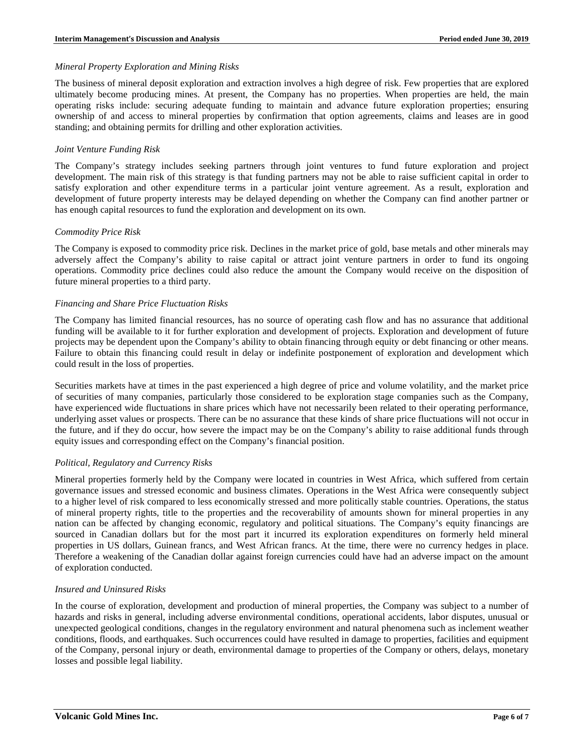#### *Mineral Property Exploration and Mining Risks*

The business of mineral deposit exploration and extraction involves a high degree of risk. Few properties that are explored ultimately become producing mines. At present, the Company has no properties. When properties are held, the main operating risks include: securing adequate funding to maintain and advance future exploration properties; ensuring ownership of and access to mineral properties by confirmation that option agreements, claims and leases are in good standing; and obtaining permits for drilling and other exploration activities.

### *Joint Venture Funding Risk*

The Company's strategy includes seeking partners through joint ventures to fund future exploration and project development. The main risk of this strategy is that funding partners may not be able to raise sufficient capital in order to satisfy exploration and other expenditure terms in a particular joint venture agreement. As a result, exploration and development of future property interests may be delayed depending on whether the Company can find another partner or has enough capital resources to fund the exploration and development on its own.

#### *Commodity Price Risk*

The Company is exposed to commodity price risk. Declines in the market price of gold, base metals and other minerals may adversely affect the Company's ability to raise capital or attract joint venture partners in order to fund its ongoing operations. Commodity price declines could also reduce the amount the Company would receive on the disposition of future mineral properties to a third party.

#### *Financing and Share Price Fluctuation Risks*

The Company has limited financial resources, has no source of operating cash flow and has no assurance that additional funding will be available to it for further exploration and development of projects. Exploration and development of future projects may be dependent upon the Company's ability to obtain financing through equity or debt financing or other means. Failure to obtain this financing could result in delay or indefinite postponement of exploration and development which could result in the loss of properties.

Securities markets have at times in the past experienced a high degree of price and volume volatility, and the market price of securities of many companies, particularly those considered to be exploration stage companies such as the Company, have experienced wide fluctuations in share prices which have not necessarily been related to their operating performance, underlying asset values or prospects. There can be no assurance that these kinds of share price fluctuations will not occur in the future, and if they do occur, how severe the impact may be on the Company's ability to raise additional funds through equity issues and corresponding effect on the Company's financial position.

# *Political, Regulatory and Currency Risks*

Mineral properties formerly held by the Company were located in countries in West Africa, which suffered from certain governance issues and stressed economic and business climates. Operations in the West Africa were consequently subject to a higher level of risk compared to less economically stressed and more politically stable countries. Operations, the status of mineral property rights, title to the properties and the recoverability of amounts shown for mineral properties in any nation can be affected by changing economic, regulatory and political situations. The Company's equity financings are sourced in Canadian dollars but for the most part it incurred its exploration expenditures on formerly held mineral properties in US dollars, Guinean francs, and West African francs. At the time, there were no currency hedges in place. Therefore a weakening of the Canadian dollar against foreign currencies could have had an adverse impact on the amount of exploration conducted.

# *Insured and Uninsured Risks*

In the course of exploration, development and production of mineral properties, the Company was subject to a number of hazards and risks in general, including adverse environmental conditions, operational accidents, labor disputes, unusual or unexpected geological conditions, changes in the regulatory environment and natural phenomena such as inclement weather conditions, floods, and earthquakes. Such occurrences could have resulted in damage to properties, facilities and equipment of the Company, personal injury or death, environmental damage to properties of the Company or others, delays, monetary losses and possible legal liability.